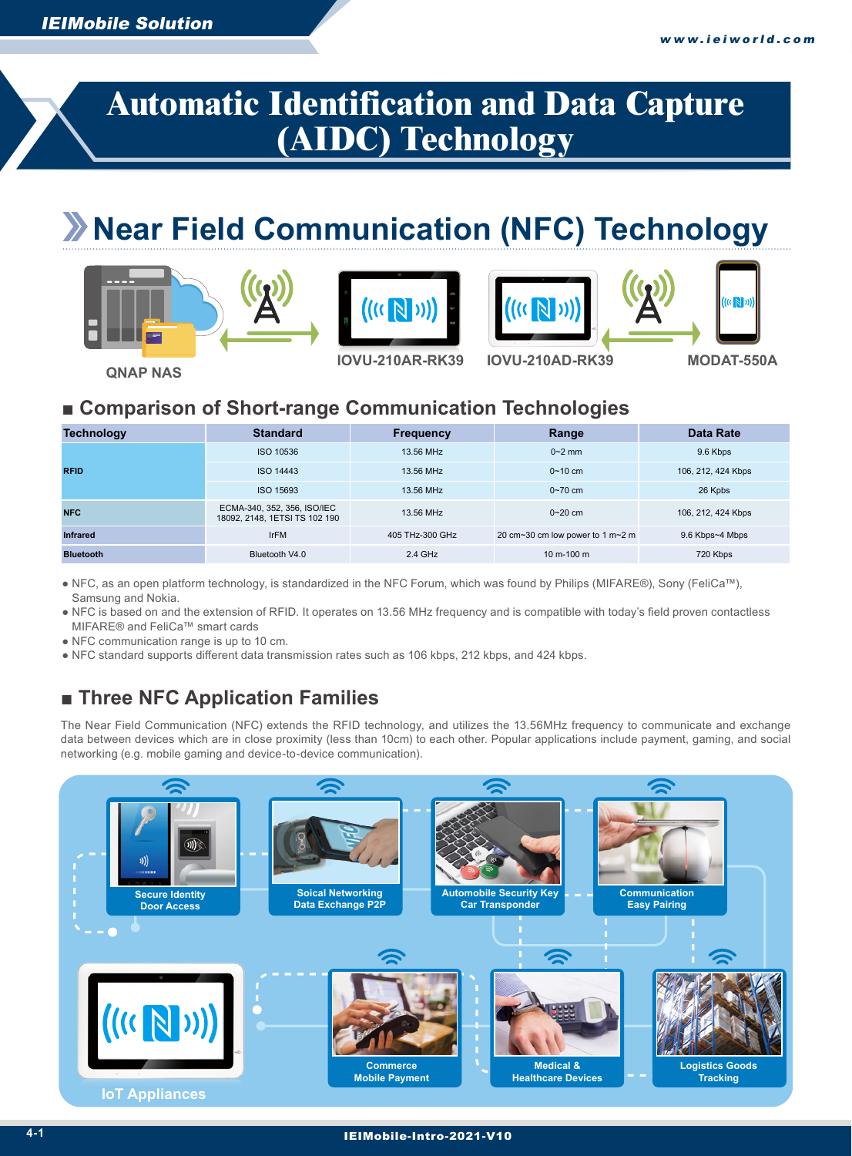# **Automatic Identification and Data Capture (AIDC) Technology**

# **Near Field Communication (NFC) Technology**









**QNAP NAS**

**IOVU-210AR-RK39 IOVU-210AD-RK39 MODAT-550A**

 $((\left(\sqrt{N}\right)\circ)\right)$ 

### ■ Comparison of Short-range Communication Technologies

| <b>Technology</b> | <b>Standard</b>                                              | <b>Frequency</b> | Range                            | <b>Data Rate</b>   |
|-------------------|--------------------------------------------------------------|------------------|----------------------------------|--------------------|
|                   | ISO 10536                                                    | 13.56 MHz        | $0-2$ mm                         | 9.6 Kbps           |
| <b>RFID</b>       | <b>ISO 14443</b>                                             | 13.56 MHz        | $0 - 10$ cm                      | 106, 212, 424 Kbps |
|                   | ISO 15693                                                    | 13.56 MHz        | $0 - 70$ cm                      | 26 Kpbs            |
| <b>NFC</b>        | ECMA-340, 352, 356, ISO/IEC<br>18092, 2148, 1ETSI TS 102 190 | 13.56 MHz        | $0 - 20$ cm                      | 106, 212, 424 Kbps |
| <b>Infrared</b>   | <b>IrFM</b>                                                  | 405 THz-300 GHz  | 20 cm~30 cm low power to 1 m~2 m | 9.6 Kbps~4 Mbps    |
| <b>Bluetooth</b>  | Bluetooth V4.0                                               | 2.4 GHz          | 10 m-100 m                       | 720 Kbps           |

● NFC, as an open platform technology, is standardized in the NFC Forum, which was found by Philips (MIFARE®), Sony (FeliCa™), Samsung and Nokia.

● NFC is based on and the extension of RFID. It operates on 13.56 MHz frequency and is compatible with today's field proven contactless MIFARE® and FeliCa™ smart cards

● NFC communication range is up to 10 cm.

● NFC standard supports different data transmission rates such as 106 kbps, 212 kbps, and 424 kbps.

# ■ Three NFC Application Families

networking (e.g. mobile gaming and device-to-device communication). The Near Field Communication (NFC) extends the RFID technology, and utilizes the 13.56MHz frequency to communicate and exchange data between devices which are in close proximity (less than 10cm) to each other. Popular applications include payment, gaming, and social

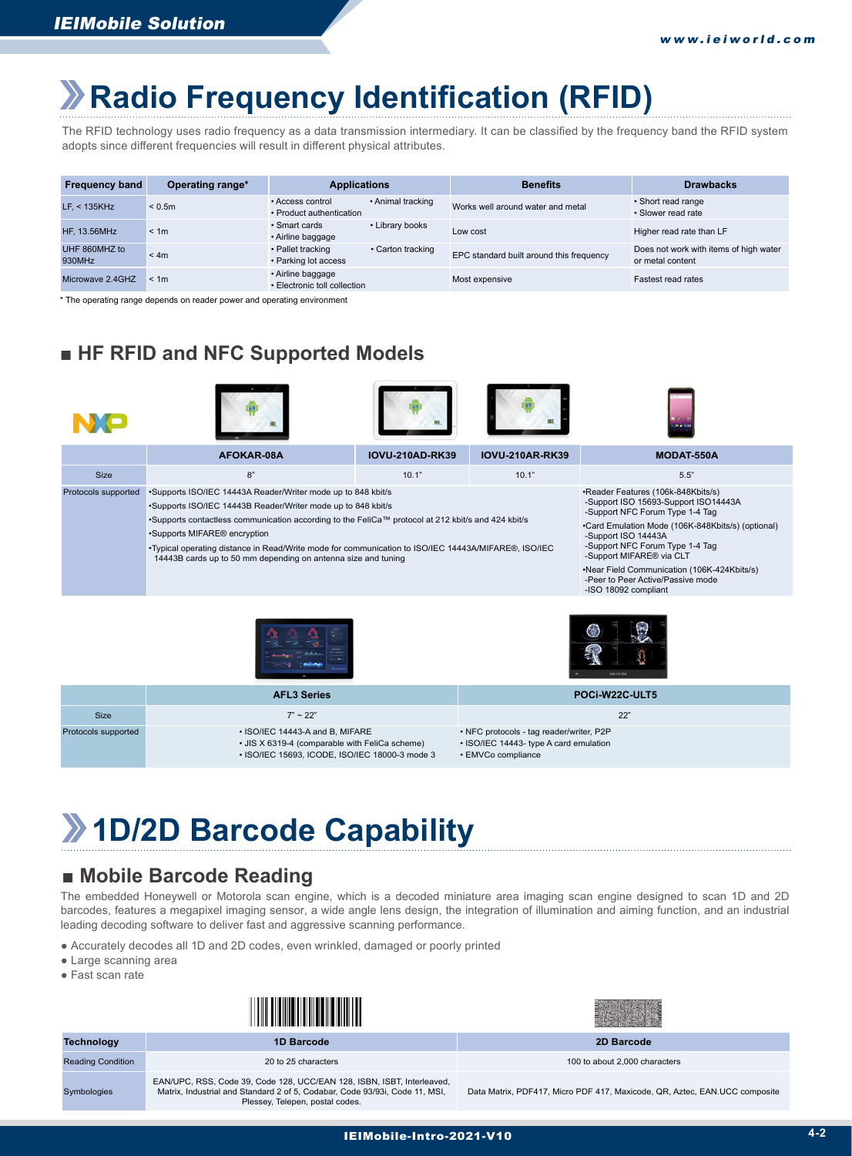# **Radio Frequency Identification (RFID)**

The RFID technology uses radio frequency as a data transmission intermediary. It can be classified by the frequency band the RFID system adopts since different frequencies will result in different physical attributes.

| <b>Frequency band</b>   | Operating range* | <b>Applications</b>                               |                   | <b>Benefits</b>                          | <b>Drawbacks</b>                                           |
|-------------------------|------------------|---------------------------------------------------|-------------------|------------------------------------------|------------------------------------------------------------|
| $LFs$ < 135KHz          | < 0.5m           | • Access control<br>• Product authentication      | • Animal tracking | Works well around water and metal        | • Short read range<br>· Slower read rate                   |
| HF, 13.56MHz            | < 1m             | • Smart cards<br>• Airline baggage                | • Library books   | Low cost                                 | Higher read rate than LF                                   |
| UHF 860MHZ to<br>930MHz | < 4m             | • Pallet tracking<br>• Parking lot access         | • Carton tracking | EPC standard built around this frequency | Does not work with items of high water<br>or metal content |
| Microwave 2.4GHZ        | < 1m             | • Airline baggage<br>• Electronic toll collection |                   | Most expensive                           | <b>Fastest read rates</b>                                  |

\* The operating range depends on reader power and operating environment

## ■ HF RFID and NFC Supported Models









|                     | AFOKAR-08A                                                                                                                                                                                                                                                                                                                                                                                                                                             | <b>IOVU-210AD-RK39</b> | <b>IOVU-210AR-RK39</b> | <b>MODAT-550A</b>                                                                                                                                                                                                                                                                                                                                                                |
|---------------------|--------------------------------------------------------------------------------------------------------------------------------------------------------------------------------------------------------------------------------------------------------------------------------------------------------------------------------------------------------------------------------------------------------------------------------------------------------|------------------------|------------------------|----------------------------------------------------------------------------------------------------------------------------------------------------------------------------------------------------------------------------------------------------------------------------------------------------------------------------------------------------------------------------------|
| Size                | 8"                                                                                                                                                                                                                                                                                                                                                                                                                                                     | 10.1"                  | 10.1"                  | 5.5"                                                                                                                                                                                                                                                                                                                                                                             |
| Protocols supported | •Supports ISO/IEC 14443A Reader/Writer mode up to 848 kbit/s<br>•Supports ISO/IEC 14443B Reader/Writer mode up to 848 kbit/s<br>•Supports contactless communication according to the FeliCa™ protocol at 212 kbit/s and 424 kbit/s<br>•Supports MIFARE <sup>®</sup> encryption<br>•Typical operating distance in Read/Write mode for communication to ISO/IEC 14443A/MIFARE®, ISO/IEC<br>14443B cards up to 50 mm depending on antenna size and tuning |                        |                        | •Reader Features (106k-848Kbits/s)<br>-Support ISO 15693-Support ISO14443A<br>-Support NFC Forum Type 1-4 Tag<br>•Card Emulation Mode (106K-848Kbits/s) (optional)<br>-Support ISO 14443A<br>-Support NFC Forum Type 1-4 Tag<br>-Support MIFARE <sup>®</sup> via CLT<br>•Near Field Communication (106K-424Kbits/s)<br>-Peer to Peer Active/Passive mode<br>-ISO 18092 compliant |





|                     | <b>AFL3 Series</b>                                                                                                                  | POCI-W22C-ULT5                                                                                           |
|---------------------|-------------------------------------------------------------------------------------------------------------------------------------|----------------------------------------------------------------------------------------------------------|
| <b>Size</b>         | $7" \sim 22"$                                                                                                                       | 22'                                                                                                      |
| Protocols supported | • ISO/IEC 14443-A and B, MIFARE<br>• JIS X 6319-4 (comparable with FeliCa scheme)<br>• ISO/IEC 15693, ICODE, ISO/IEC 18000-3 mode 3 | • NFC protocols - tag reader/writer, P2P<br>• ISO/IEC 14443- type A card emulation<br>• EMVCo compliance |

# **1D/2D Barcode Capability**

### ■ Mobile Barcode Reading

The embedded Honeywell or Motorola scan engine, which is a decoded miniature area imaging scan engine designed to scan 1D and 2D barcodes, features a megapixel imaging sensor, a wide angle lens design, the integration of illumination and aiming function, and an industrial leading decoding software to deliver fast and aggressive scanning performance.

- Accurately decodes all 1D and 2D codes, even wrinkled, damaged or poorly printed
- Large scanning area
- Fast scan rate

| Technology | <b>1D Barcode</b> | 2D Barcode |
|------------|-------------------|------------|
|            |                   |            |



|  | ZD Dartoue |  |  |
|--|------------|--|--|
|  |            |  |  |

Symbologies

Reading Condition **20 to 25 characters** 20 to 25 characters 100 to about 2,000 characters 2,000 characters 2,000 characters

EAN/UPC, RSS, Code 39, Code 128, UCC/EAN 128, ISBN, ISBT, Interleaved, Matrix, Industrial and Standard 2 of 5, Codabar, Code 93/93i, Code 11, MSI, Plessey, Telepen, postal codes.

Data Matrix, PDF417, Micro PDF 417, Maxicode, QR, Aztec, EAN.UCC composite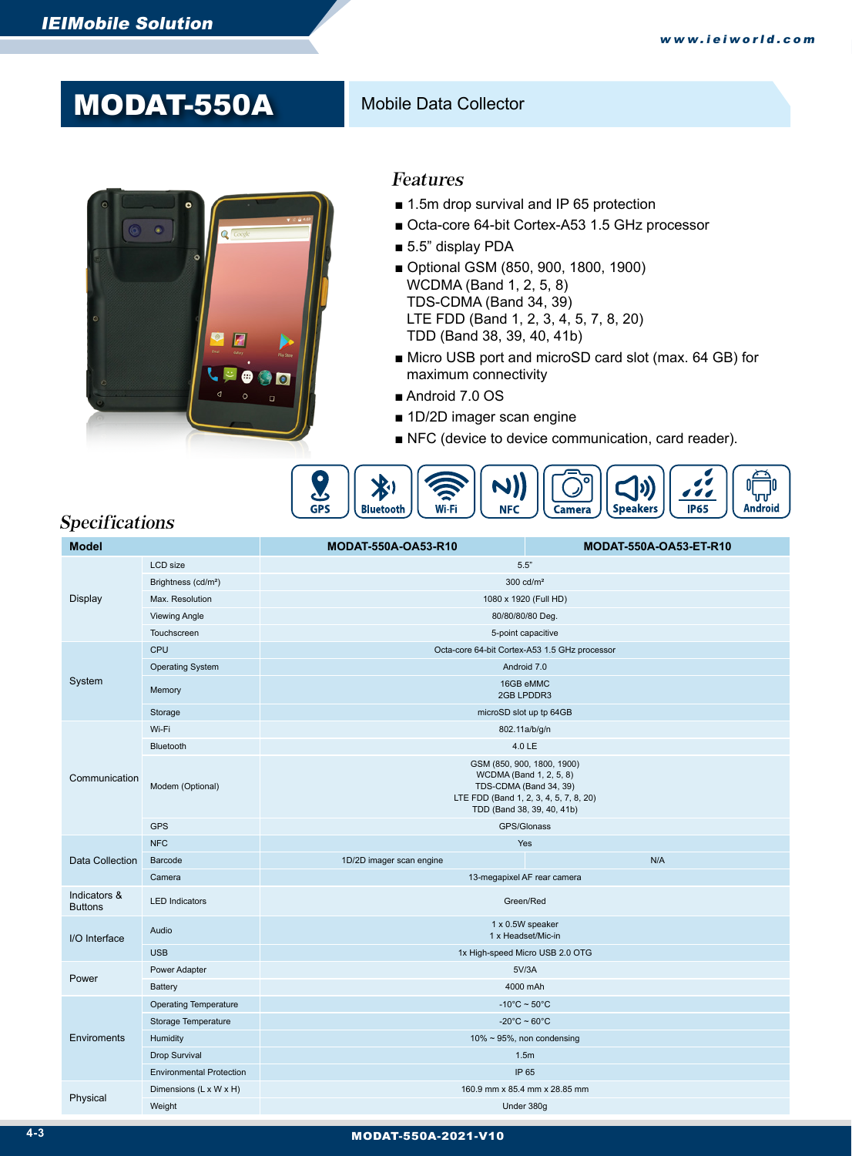# MODAT-550A Mobile Data Collector



#### Features

- 1.5m drop survival and IP 65 protection
- Octa-core 64-bit Cortex-A53 1.5 GHz processor
- 5.5" display PDA
- Optional GSM (850, 900, 1800, 1900) WCDMA (Band 1, 2, 5, 8) TDS-CDMA (Band 34, 39) LTE FDD (Band 1, 2, 3, 4, 5, 7, 8, 20) TDD (Band 38, 39, 40, 41b)
- Micro USB port and microSD card slot (max. 64 GB) for maximum connectivity
- Android 7.0 OS
- 1D/2D imager scan engine
- NFC (device to device communication, card reader).



### Specifications

| <b>Model</b>                   |                                 | MODAT-550A-OA53-R10<br><b>MODAT-550A-OA53-ET-R10</b>                                                                                                    |  |  |  |  |
|--------------------------------|---------------------------------|---------------------------------------------------------------------------------------------------------------------------------------------------------|--|--|--|--|
|                                | LCD size                        | 5.5"                                                                                                                                                    |  |  |  |  |
|                                | Brightness (cd/m <sup>2</sup> ) | $300 \text{ cd/m}^2$                                                                                                                                    |  |  |  |  |
| Display                        | Max. Resolution                 | 1080 x 1920 (Full HD)                                                                                                                                   |  |  |  |  |
|                                | <b>Viewing Angle</b>            | 80/80/80/80 Deg.                                                                                                                                        |  |  |  |  |
|                                | Touchscreen                     | 5-point capacitive                                                                                                                                      |  |  |  |  |
|                                | <b>CPU</b>                      | Octa-core 64-bit Cortex-A53 1.5 GHz processor                                                                                                           |  |  |  |  |
|                                | <b>Operating System</b>         | Android 7.0                                                                                                                                             |  |  |  |  |
| System                         | Memory                          | 16GB eMMC<br>2GB LPDDR3                                                                                                                                 |  |  |  |  |
|                                | Storage                         | microSD slot up tp 64GB                                                                                                                                 |  |  |  |  |
|                                | Wi-Fi                           | 802.11a/b/g/n                                                                                                                                           |  |  |  |  |
|                                | Bluetooth                       | 4.0 LE                                                                                                                                                  |  |  |  |  |
| Communication                  | Modem (Optional)                | GSM (850, 900, 1800, 1900)<br>WCDMA (Band 1, 2, 5, 8)<br>TDS-CDMA (Band 34, 39)<br>LTE FDD (Band 1, 2, 3, 4, 5, 7, 8, 20)<br>TDD (Band 38, 39, 40, 41b) |  |  |  |  |
|                                | <b>GPS</b>                      | GPS/Glonass                                                                                                                                             |  |  |  |  |
|                                | <b>NFC</b>                      | Yes                                                                                                                                                     |  |  |  |  |
| Data Collection                | Barcode                         | N/A<br>1D/2D imager scan engine                                                                                                                         |  |  |  |  |
|                                | Camera                          | 13-megapixel AF rear camera                                                                                                                             |  |  |  |  |
| Indicators &<br><b>Buttons</b> | <b>LED Indicators</b>           | Green/Red                                                                                                                                               |  |  |  |  |
| I/O Interface                  | Audio                           | 1 x 0.5W speaker<br>1 x Headset/Mic-in                                                                                                                  |  |  |  |  |
|                                | <b>USB</b>                      | 1x High-speed Micro USB 2.0 OTG                                                                                                                         |  |  |  |  |
| Power                          | Power Adapter                   | 5V/3A                                                                                                                                                   |  |  |  |  |
|                                | <b>Battery</b>                  | 4000 mAh                                                                                                                                                |  |  |  |  |
|                                | <b>Operating Temperature</b>    | $-10^{\circ}$ C ~ 50 $^{\circ}$ C                                                                                                                       |  |  |  |  |
|                                | Storage Temperature             | $-20^{\circ}$ C ~ 60 $^{\circ}$ C                                                                                                                       |  |  |  |  |
| Enviroments                    | Humidity                        | $10\% \sim 95\%$ , non condensing                                                                                                                       |  |  |  |  |
|                                | <b>Drop Survival</b>            | 1.5m                                                                                                                                                    |  |  |  |  |
|                                | <b>Environmental Protection</b> | IP 65                                                                                                                                                   |  |  |  |  |
|                                | Dimensions (L x W x H)          | 160.9 mm x 85.4 mm x 28.85 mm                                                                                                                           |  |  |  |  |
| Physical                       | Weight                          | Under 380g                                                                                                                                              |  |  |  |  |